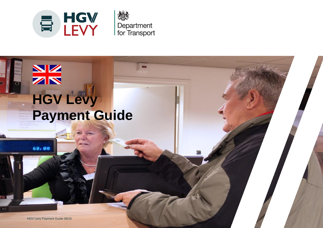



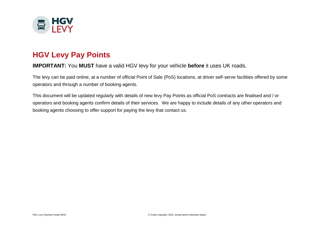

# **HGV Levy Pay Points**

#### **IMPORTANT:** You **MUST** have a valid HGV levy for your vehicle **before** it uses UK roads.

The levy can be paid online, at a number of official Point of Sale (PoS) locations, at driver self-serve facilities offered by some operators and through a number of booking agents.

This document will be updated regularly with details of new levy Pay Points as official PoS contracts are finalised and / or operators and booking agents confirm details of their services. We are happy to include details of any other operators and booking agents choosing to offer support for paying the levy that contact us.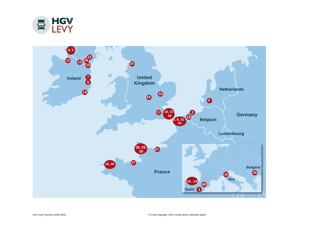

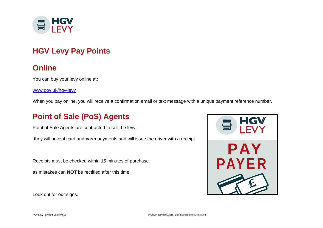

# **HGV Levy Pay Points**

# **Online**

You can buy your levy online at:

[www.gov.uk/hgv-levy](http://www.gov.uk/hgv-levy)

When you pay online, you will receive a confirmation email or text message with a unique payment reference number.

# **Point of Sale (PoS) Agents**

Point of Sale Agents are contracted to sell the levy,

they will accept card and **cash** payments and will issue the driver with a receipt.

Receipts must be checked within 15 minutes of purchase

as mistakes can **NOT** be rectified after this time.



Look out for our signs.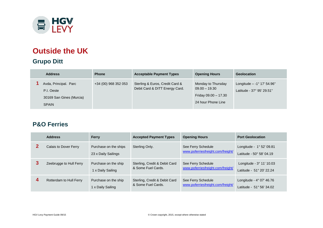

# **Outside the UK**

# **Grupo Ditt**

| <b>Address</b>                                                                  | <b>Phone</b>         | <b>Acceptable Payment Types</b>                                   | <b>Opening Hours</b>                                                                | Geolocation                                                      |
|---------------------------------------------------------------------------------|----------------------|-------------------------------------------------------------------|-------------------------------------------------------------------------------------|------------------------------------------------------------------|
| Avda, Principal. Parc<br>P.I. Oeste<br>30169 San Gines (Murcia)<br><b>SPAIN</b> | +34 (00) 968 352 053 | Sterling & Euros, Credit Card &<br>Debit Card & DITT Energy Card. | Monday to Thursday<br>$09.00 - 19.30$<br>Friday 09.00 - 17.30<br>24 hour Phone Line | Longitude $- -1^{\circ}$ 17' 54.96"<br>Latitude - 37° 95' 29.51" |

#### **P&O Ferries**

|   | <b>Address</b>          | <b>Ferry</b>                                 | <b>Accepted Payment Types</b>                       | <b>Opening Hours</b>                                    | <b>Port Geolocation</b>                                       |
|---|-------------------------|----------------------------------------------|-----------------------------------------------------|---------------------------------------------------------|---------------------------------------------------------------|
|   | Calais to Dover Ferry   | Purchase on the ships<br>23 x Daily Sailings | Sterling Only.                                      | See Ferry Schedule<br>www.poferriesfreight.com/freight/ | Longitude - 1° 52' 09.81<br>Latitude - 50° 58' 04.19          |
| 3 | Zeebrugge to Hull Ferry | Purchase on the ship<br>1 x Daily Sailing    | Sterling, Credit & Debit Card<br>& Some Fuel Cards. | See Ferry Schedule<br>www.poferriesfreight.com/freight/ | Longitude - $3^{\circ}$ 11' 10.03<br>Latitude - 51° 20' 22.24 |
| 4 | Rotterdam to Hull Ferry | Purchase on the ship<br>1 x Daily Sailing    | Sterling, Credit & Debit Card<br>& Some Fuel Cards. | See Ferry Schedule<br>www.poferriesfreight.com/freight/ | Longitude - 4° 07' 46.76<br>Latitude - 51° 56' 34.02          |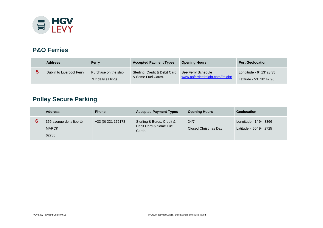

#### **P&O Ferries**

| <b>Address</b>            | Ferry                                      | <b>Accepted Payment Types</b>                       | <b>Opening Hours</b>                                    | <b>Port Geolocation</b>                                       |
|---------------------------|--------------------------------------------|-----------------------------------------------------|---------------------------------------------------------|---------------------------------------------------------------|
| Dublin to Liverpool Ferry | Purchase on the ship<br>3 x daily sailings | Sterling, Credit & Debit Card<br>& Some Fuel Cards. | See Ferry Schedule<br>www.poferriesfreight.com/freight/ | Longitude - $6^{\circ}$ 13' 23.35<br>Latitude - 53° 20′ 47.96 |

# **Polley Secure Parking**

| <b>Address</b>                                    | <b>Phone</b>       | <b>Accepted Payment Types</b>                                  | <b>Opening Hours</b>         | <b>Geolocation</b>                                 |
|---------------------------------------------------|--------------------|----------------------------------------------------------------|------------------------------|----------------------------------------------------|
| 356 avenue de la liberté<br><b>MARCK</b><br>62730 | +33 (0) 321 172178 | Sterling & Euros, Credit &<br>Debit Card & Some Fuel<br>Cards. | 24/7<br>Closed Christmas Day | Longitude - 1° 94' 3366<br>Latitude - 50° 94' 2725 |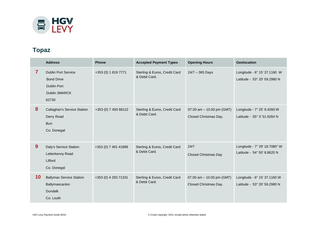

### **Topaz**

|                | <b>Address</b>                                                                                  | <b>Phone</b>         | <b>Accepted Payment Types</b>                  | <b>Opening Hours</b>                               | Geolocation                                                  |
|----------------|-------------------------------------------------------------------------------------------------|----------------------|------------------------------------------------|----------------------------------------------------|--------------------------------------------------------------|
| $\overline{7}$ | <b>Dublin Port Service</b><br><b>Bond Drive</b><br><b>Dublin Port</b><br>Dublin 3MARCK<br>62730 | +353 (0) 1 819 7771  | Sterling & Euros, Credit Card<br>& Debit Card. | $24/7 - 365$ Days                                  | Longitude - 6° 15' 37.1160 W<br>Latitude - 53° 20' 59.2980 N |
| 8              | <b>Callaghan's Service Station</b><br>Derry Road<br><b>Burt</b><br>Co. Donegal                  | +353 (0) 7 493 68122 | Sterling & Euros, Credit Card<br>& Debit Card. | 07.00 am - 10.00 pm (GMT)<br>Closed Christmas Day. | Longitude - 7° 25' 9.4260 W<br>Latitude - 55° 3' 51.9264 N   |
| 9              | Daly's Service Station<br>Letterkenny Road<br>Lifford<br>Co. Donegal                            | +353 (0) 7 491 41888 | Sterling & Euros, Credit Card<br>& Debit Card. | 24/7<br><b>Closed Christmas Day</b>                | Longitude - 7° 29' 18.7080" W<br>Latitude - 54° 50' 8.8620 N |
| 10             | <b>Ballymac Service Station</b><br>Ballymascanlon<br><b>Dundalk</b><br>Co. Louth                | +353 (0) 4 293 71331 | Sterling & Euros, Credit Card<br>& Debit Card. | 07.00 am - 10.00 pm (GMT)<br>Closed Christmas Day. | Longitude - 6° 15' 37.1160 W<br>Latitude - 53° 20' 59.2980 N |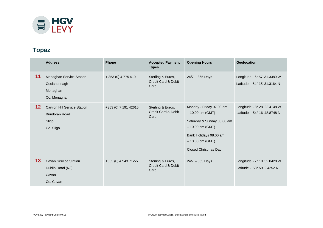

### **Topaz**

|         | <b>Address</b>                                                                    | <b>Phone</b>         | <b>Accepted Payment</b><br><b>Types</b>                      | <b>Opening Hours</b>                                                                                                                                                           | <b>Geolocation</b>                                           |
|---------|-----------------------------------------------------------------------------------|----------------------|--------------------------------------------------------------|--------------------------------------------------------------------------------------------------------------------------------------------------------------------------------|--------------------------------------------------------------|
| 11      | Monaghan Service Station<br>Coolshannagh<br>Monaghan<br>Co. Monaghan              | + 353 (0) 4 775 410  | Sterling & Euros,<br><b>Credit Card &amp; Debit</b><br>Card. | 24/7 - 365 Days                                                                                                                                                                | Longitude - 6° 57' 31.3380 W<br>Latitude - 54° 15' 31.3164 N |
| $12 \,$ | <b>Cartron Hill Service Station</b><br><b>Bundoran Road</b><br>Sligo<br>Co. Sligo | +353 (0) 7 191 42615 | Sterling & Euros,<br>Credit Card & Debit<br>Card.            | Monday - Friday 07.00 am<br>$-10.00$ pm (GMT)<br>Saturday & Sunday 08.00 am<br>$-10.00$ pm (GMT)<br>Bank Holidays 08.00 am<br>$-10.00$ pm (GMT)<br><b>Closed Christmas Day</b> | Longitude - 8° 28' 22.4148 W<br>Latitude - 54° 16' 48.8748 N |
| 13      | <b>Cavan Service Station</b><br>Dublin Road (N3)<br>Cavan<br>Co. Cavan            | +353 (0) 4 943 71227 | Sterling & Euros,<br>Credit Card & Debit<br>Card.            | $24/7 - 365$ Days                                                                                                                                                              | Longitude - 7° 19' 52.0428 W<br>Latitude - 53° 59' 2.4252 N  |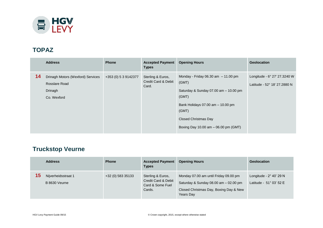

#### **TOPAZ**

|    | <b>Address</b>                                                               | <b>Phone</b>         | <b>Accepted Payment</b><br><b>Types</b>                      | <b>Opening Hours</b>                                                                                                                                                                                                 | <b>Geolocation</b>                                           |
|----|------------------------------------------------------------------------------|----------------------|--------------------------------------------------------------|----------------------------------------------------------------------------------------------------------------------------------------------------------------------------------------------------------------------|--------------------------------------------------------------|
| 14 | Drinagh Motors (Wexford) Services<br>Rosslare Road<br>Drinagh<br>Co. Wexford | +353 (0) 5 3 9142377 | Sterling & Euros,<br><b>Credit Card &amp; Debit</b><br>Card. | Monday - Friday 06.30 am $-11.00$ pm<br>(GMT)<br>Saturday & Sunday 07.00 am - 10.00 pm<br>(GMT)<br>Bank Holidays 07.00 am - 10.00 pm<br>(GMT)<br><b>Closed Christmas Day</b><br>Boxing Day 10.00 am - 06.00 pm (GMT) | Longitude - 6° 27' 27.3240 W<br>Latitude - 52° 18′ 27.2880 N |

# **Truckstop Veurne**

|    | <b>Address</b>                       | <b>Phone</b>      | <b>Accepted Payment</b><br><b>Types</b>                                | <b>Opening Hours</b>                                                                                                                  | <b>Geolocation</b>                                                 |
|----|--------------------------------------|-------------------|------------------------------------------------------------------------|---------------------------------------------------------------------------------------------------------------------------------------|--------------------------------------------------------------------|
| 15 | Nijverheidsstraat 1<br>B 8630 Veurne | +32 (0) 583 35133 | Sterling & Euros,<br>Credit Card & Debit<br>Card & Some Fuel<br>Cards. | Monday 07.00 am until Friday 09.00 pm<br>Saturday & Sunday 08.00 am - 02.00 pm<br>Closed Christmas Day, Boxing Day & New<br>Years Day | Longitude - $2^{\circ}$ 40' 29 N<br>Latitude - $51^\circ$ 03' 52 E |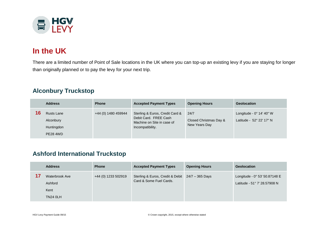

# **In the UK**

There are a limited number of Point of Sale locations in the UK where you can top-up an existing levy if you are staying for longer than originally planned or to pay the levy for your next trip.

### **Alconbury Truckstop**

| <b>Address</b>                                                  | <b>Phone</b>        | <b>Accepted Payment Types</b>                                                                              | <b>Opening Hours</b>                            | <b>Geolocation</b>                                            |
|-----------------------------------------------------------------|---------------------|------------------------------------------------------------------------------------------------------------|-------------------------------------------------|---------------------------------------------------------------|
| <b>Rusts Lane</b><br>Alconbury<br>Huntingdon<br><b>PE28 4WD</b> | +44 (0) 1480 459944 | Sterling & Euros, Credit Card &<br>Debit Card. FREE Cash<br>Machine on Site in case of<br>Incompatibility. | 24/7<br>Closed Christmas Day &<br>New Years Day | Longitude - $0^{\circ}$ 14' 40" W<br>Latitude - 52° 22' 17" N |

### **Ashford International Truckstop**

| <b>Address</b>                                       | <b>Phone</b>        | <b>Accepted Payment Types</b>                                               | <b>Opening Hours</b> | Geolocation                                                   |
|------------------------------------------------------|---------------------|-----------------------------------------------------------------------------|----------------------|---------------------------------------------------------------|
| Waterbrook Ave<br>Ashford<br>Kent<br><b>TN24 0LH</b> | +44 (0) 1233 502919 | Sterling & Euros, Credit & Debit 24/7 - 365 Days<br>Card & Some Fuel Cards. |                      | Longitude - 0° 53' 50.87148 E<br>Latitude - 51° 7' 28.57908 N |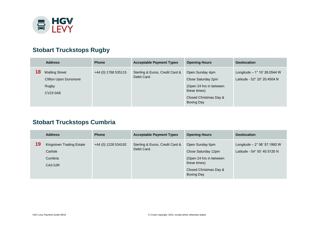

### **Stobart Truckstops Rugby**

|    | <b>Address</b>                                                                    | <b>Phone</b>        | <b>Acceptable Payment Types</b>                | <b>Opening Hours</b>                                                                                                            | <b>Geolocation</b>                                                   |
|----|-----------------------------------------------------------------------------------|---------------------|------------------------------------------------|---------------------------------------------------------------------------------------------------------------------------------|----------------------------------------------------------------------|
| 18 | <b>Watling Street</b><br><b>Clifton Upon Dunsmore</b><br>Rugby<br><b>CV23 0AE</b> | +44 (0) 1788 535115 | Sterling & Euros, Credit Card &<br>Debit Card. | Open Sunday 4pm<br>Close Saturday 2pm<br>(Open 24 hrs in between<br>these times)<br>Closed Christmas Day &<br><b>Boxing Day</b> | Longitude $-1^{\circ}$ 10' 26.0544 W<br>Latitude - 52° 20' 20.4504 N |

# **Stobart Truckstops Cumbria**

|    | <b>Address</b>                                             | <b>Phone</b>        | <b>Acceptable Payment Types</b>                | <b>Opening Hours</b>                                                                                                             | <b>Geolocation</b>                                                   |
|----|------------------------------------------------------------|---------------------|------------------------------------------------|----------------------------------------------------------------------------------------------------------------------------------|----------------------------------------------------------------------|
| 19 | Kingstown Trading Estate<br>Carlisle<br>Cumbria<br>CA3 0JR | +44 (0) 1228 534192 | Sterling & Euros, Credit Card &<br>Debit Card. | Open Sunday 6pm<br>Close Saturday 12pm<br>(Open 24 hrs in between<br>these times)<br>Closed Christmas Day &<br><b>Boxing Day</b> | Longitude $-2^{\circ}$ 56' 57.1992 W<br>Latitude - 54° 55' 40.5120 N |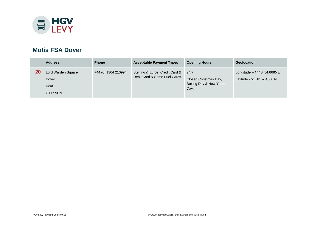

#### **Motis FSA Dover**

|           | <b>Address</b>                                  | <b>Phone</b>        | <b>Acceptable Payment Types</b>                                  | <b>Opening Hours</b>                                            | <b>Geolocation</b>                                                  |
|-----------|-------------------------------------------------|---------------------|------------------------------------------------------------------|-----------------------------------------------------------------|---------------------------------------------------------------------|
| <b>20</b> | Lord Warden Square<br>Dover<br>Kent<br>CT17 9DN | +44 (0) 1304 210994 | Sterling & Euros, Credit Card &<br>Debit Card & Some Fuel Cards. | 24/7<br>Closed Christmas Day,<br>Boxing Day & New Years<br>Day. | Longitude $-1^{\circ}$ 18' 34.8685 E<br>Latitude - 51° 6' 57.4506 N |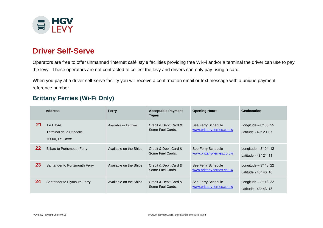

# **Driver Self-Serve**

Operators are free to offer unmanned 'internet café' style facilities providing free Wi-Fi and/or a terminal the driver can use to pay the levy. These operators are not contracted to collect the levy and drivers can only pay using a card.

When you pay at a driver self-serve facility you will receive a confirmation email or text message with a unique payment reference number.

#### **Brittany Ferries (Wi-Fi Only)**

|    | <b>Address</b>                                           | <b>Ferry</b>           | <b>Acceptable Payment</b><br><b>Types</b> | <b>Opening Hours</b>                              | <b>Geolocation</b>                                            |
|----|----------------------------------------------------------|------------------------|-------------------------------------------|---------------------------------------------------|---------------------------------------------------------------|
| 21 | Le Havre<br>Terminal de la Citadelle,<br>76600, Le Havre | Available in Terminal  | Credit & Debit Card &<br>Some Fuel Cards. | See Ferry Schedule<br>www.brittany-ferries.co.uk/ | Longitude $-0^{\circ}$ 06' 55<br>Latitude - $49^\circ$ 29' 07 |
| 22 | Bilbao to Portsmouth Ferry                               | Available on the Ships | Credit & Debit Card &<br>Some Fuel Cards. | See Ferry Schedule<br>www.brittany-ferries.co.uk/ | Longitude $-3^{\circ}$ 04' 12<br>Latitude - 43° 21' 11        |
| 23 | Santander to Portsmouth Ferry                            | Available on the Ships | Credit & Debit Card &<br>Some Fuel Cards. | See Ferry Schedule<br>www.brittany-ferries.co.uk/ | Longitude $-3^\circ$ 48' 22<br>Latitude - $43^\circ$ $43'$ 18 |
| 24 | Santander to Plymouth Ferry                              | Available on the Ships | Credit & Debit Card &<br>Some Fuel Cards. | See Ferry Schedule<br>www.brittany-ferries.co.uk/ | Longitude $-3^{\circ}$ 48' 22<br>Latitude - 43° 43' 18        |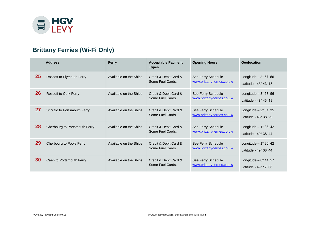

# **Brittany Ferries (Wi-Fi Only)**

|    | <b>Address</b>                | Ferry                  | <b>Acceptable Payment</b><br><b>Types</b> | <b>Opening Hours</b>                              | Geolocation                                                   |
|----|-------------------------------|------------------------|-------------------------------------------|---------------------------------------------------|---------------------------------------------------------------|
| 25 | Roscoff to Plymouth Ferry     | Available on the Ships | Credit & Debit Card &<br>Some Fuel Cards. | See Ferry Schedule<br>www.brittany-ferries.co.uk/ | Longitude $-3^{\circ}$ 57' 56<br>Latitude - 48° 43' 18        |
| 26 | <b>Roscoff to Cork Ferry</b>  | Available on the Ships | Credit & Debit Card &<br>Some Fuel Cards. | See Ferry Schedule<br>www.brittany-ferries.co.uk/ | Longitude $-3^{\circ}$ 57' 56<br>Latitude - 48° 43' 18        |
| 27 | St Malo to Portsmouth Ferry   | Available on the Ships | Credit & Debit Card &<br>Some Fuel Cards. | See Ferry Schedule<br>www.brittany-ferries.co.uk/ | Longitude $-2^{\circ}$ 01' 35<br>Latitude - 48° 38' 29        |
| 28 | Cherbourg to Portsmouth Ferry | Available on the Ships | Credit & Debit Card &<br>Some Fuel Cards. | See Ferry Schedule<br>www.brittany-ferries.co.uk/ | Longitude $-1°36'42$<br>Latitude - 49° 38' 44                 |
| 29 | Cherbourg to Poole Ferry      | Available on the Ships | Credit & Debit Card &<br>Some Fuel Cards. | See Ferry Schedule<br>www.brittany-ferries.co.uk/ | Longitude $-1^{\circ} 36' 42$<br>Latitude - 49° 38' 44        |
| 30 | Caen to Portsmouth Ferry      | Available on the Ships | Credit & Debit Card &<br>Some Fuel Cards. | See Ferry Schedule<br>www.brittany-ferries.co.uk/ | Longitude $-0^{\circ}$ 14' 57<br>Latitude - $49^\circ$ 17' 06 |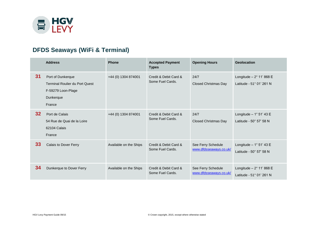

# **DFDS Seaways (WiFi & Terminal)**

|                 | <b>Address</b>                                                                                          | <b>Phone</b>           | <b>Accepted Payment</b><br><b>Types</b>   | <b>Opening Hours</b>                         | <b>Geolocation</b>                                           |
|-----------------|---------------------------------------------------------------------------------------------------------|------------------------|-------------------------------------------|----------------------------------------------|--------------------------------------------------------------|
| 31              | Port of Dunkerque<br><b>Terminal Roulier du Port Quest</b><br>F-59279 Loon-Plage<br>Dunkerque<br>France | +44 (0) 1304 874001    | Credit & Debit Card &<br>Some Fuel Cards. | 24/7<br><b>Closed Christmas Day</b>          | Longitude $-2^{\circ}$ 11' 868 E<br>Latitude - 51° 01' 261 N |
| 32 <sub>2</sub> | Port de Calais<br>54 Rue de Quai de la Loire<br>62104 Calais<br>France                                  | +44 (0) 1304 874001    | Credit & Debit Card &<br>Some Fuel Cards. | 24/7<br><b>Closed Christmas Day</b>          | Longitude $-1^{\circ}$ 51' 43 E<br>Latitude - 50° 57' 58 N   |
| 33              | Calais to Dover Ferry                                                                                   | Available on the Ships | Credit & Debit Card &<br>Some Fuel Cards. | See Ferry Schedule<br>www.dfdsseaways.co.uk/ | Longitude $-1^{\circ}$ 51' 43 E<br>Latitude - 50° 57' 58 N   |
| 34              | Dunkerque to Dover Ferry                                                                                | Available on the Ships | Credit & Debit Card &<br>Some Fuel Cards. | See Ferry Schedule<br>www.dfdsseaways.co.uk/ | Longitude $-2^{\circ}$ 11' 868 E<br>Latitude - 51° 01' 261 N |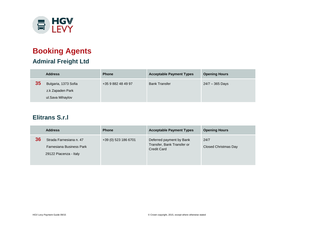

# **Booking Agents Admiral Freight Ltd**

|    | <b>Address</b>       | <b>Phone</b>       | <b>Acceptable Payment Types</b> | <b>Opening Hours</b> |
|----|----------------------|--------------------|---------------------------------|----------------------|
| 35 | Bulgaria, 1373 Sofia | +35 9 882 48 49 97 | <b>Bank Transfer</b>            | 24/7 - 365 Days      |
|    | z.k Zapaden Park     |                    |                                 |                      |
|    | ul.Sava Mihaylov     |                    |                                 |                      |

### **Elitrans S.r.l**

| <b>Address</b>                                                                      | <b>Phone</b>         | <b>Acceptable Payment Types</b>                                              | <b>Opening Hours</b>         |
|-------------------------------------------------------------------------------------|----------------------|------------------------------------------------------------------------------|------------------------------|
| 36<br>Strada Farnesiana n. 47<br>Farnesiana Business Park<br>29122 Piacenza - Italy | +39 (0) 523 186 6701 | Deferred payment by Bank<br>Transfer, Bank Transfer or<br><b>Credit Card</b> | 24/7<br>Closed Christmas Day |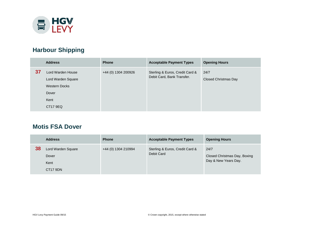

# **Harbour Shipping**

|    | <b>Address</b>                                                                               | <b>Phone</b>        | <b>Acceptable Payment Types</b>                               | <b>Opening Hours</b>         |
|----|----------------------------------------------------------------------------------------------|---------------------|---------------------------------------------------------------|------------------------------|
| 37 | Lord Warden House<br>Lord Warden Square<br><b>Western Docks</b><br>Dover<br>Kent<br>CT17 9EQ | +44 (0) 1304 200926 | Sterling & Euros, Credit Card &<br>Debit Card, Bank Transfer. | 24/7<br>Closed Christmas Day |

#### **Motis FSA Dover**

|    | <b>Address</b>                                  | <b>Phone</b>        | <b>Acceptable Payment Types</b>               | <b>Opening Hours</b>                                         |
|----|-------------------------------------------------|---------------------|-----------------------------------------------|--------------------------------------------------------------|
| 38 | Lord Warden Square<br>Dover<br>Kent<br>CT17 9DN | +44 (0) 1304 210994 | Sterling & Euros, Credit Card &<br>Debit Card | 24/7<br>Closed Christmas Day, Boxing<br>Day & New Years Day. |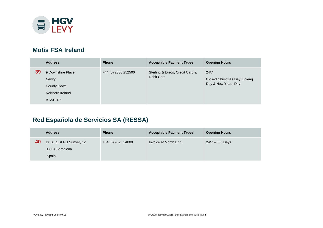

#### **Motis FSA Ireland**

|    | <b>Address</b>                                                                                 | <b>Phone</b>        | <b>Acceptable Payment Types</b>               | <b>Opening Hours</b>                                         |
|----|------------------------------------------------------------------------------------------------|---------------------|-----------------------------------------------|--------------------------------------------------------------|
| 39 | 9 Downshire Place<br><b>Newry</b><br><b>County Down</b><br>Northern Ireland<br><b>BT34 1DZ</b> | +44 (0) 2830 252500 | Sterling & Euros, Credit Card &<br>Debit Card | 24/7<br>Closed Christmas Day, Boxing<br>Day & New Years Day. |

# **Red Española de Servicios SA (RESSA)**

|    | <b>Address</b>             | <b>Phone</b>       | <b>Acceptable Payment Types</b> | <b>Opening Hours</b> |
|----|----------------------------|--------------------|---------------------------------|----------------------|
| 40 | Dr. August Pi I Sunyer, 12 | +34 (0) 9325 34000 | Invoice at Month End            | $24/7 - 365$ Days    |
|    | 08034 Barcelona            |                    |                                 |                      |
|    | Spain                      |                    |                                 |                      |